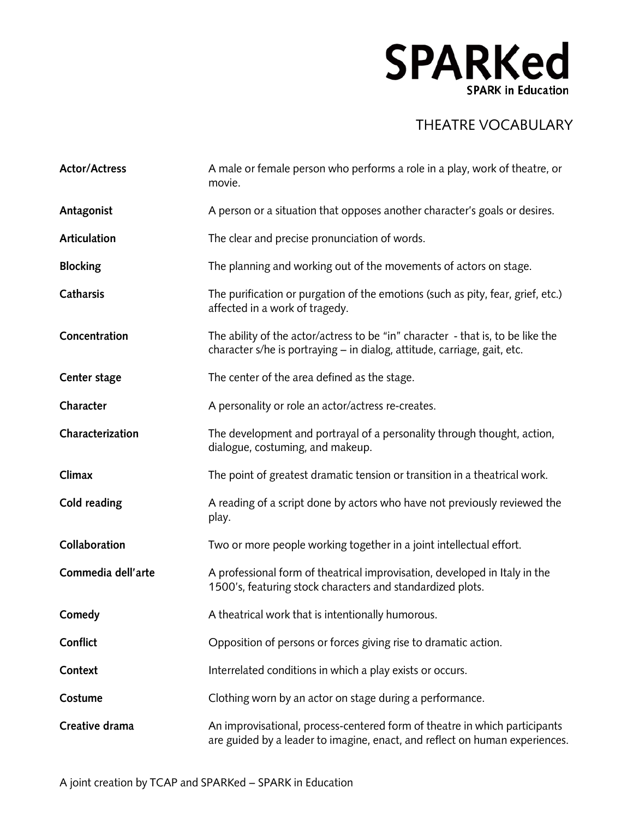## **SPARKed SPARK in Education**

## THEATRE VOCABULARY

| <b>Actor/Actress</b> | A male or female person who performs a role in a play, work of theatre, or<br>movie.                                                                        |
|----------------------|-------------------------------------------------------------------------------------------------------------------------------------------------------------|
| Antagonist           | A person or a situation that opposes another character's goals or desires.                                                                                  |
| Articulation         | The clear and precise pronunciation of words.                                                                                                               |
| <b>Blocking</b>      | The planning and working out of the movements of actors on stage.                                                                                           |
| Catharsis            | The purification or purgation of the emotions (such as pity, fear, grief, etc.)<br>affected in a work of tragedy.                                           |
| Concentration        | The ability of the actor/actress to be "in" character - that is, to be like the<br>character s/he is portraying – in dialog, attitude, carriage, gait, etc. |
| Center stage         | The center of the area defined as the stage.                                                                                                                |
| Character            | A personality or role an actor/actress re-creates.                                                                                                          |
| Characterization     | The development and portrayal of a personality through thought, action,<br>dialogue, costuming, and makeup.                                                 |
| Climax               | The point of greatest dramatic tension or transition in a theatrical work.                                                                                  |
| Cold reading         | A reading of a script done by actors who have not previously reviewed the<br>play.                                                                          |
| Collaboration        | Two or more people working together in a joint intellectual effort.                                                                                         |
| Commedia dell'arte   | A professional form of theatrical improvisation, developed in Italy in the<br>1500's, featuring stock characters and standardized plots.                    |
| Comedy               | A theatrical work that is intentionally humorous.                                                                                                           |
| Conflict             | Opposition of persons or forces giving rise to dramatic action.                                                                                             |
| Context              | Interrelated conditions in which a play exists or occurs.                                                                                                   |
| Costume              | Clothing worn by an actor on stage during a performance.                                                                                                    |
| Creative drama       | An improvisational, process-centered form of theatre in which participants<br>are guided by a leader to imagine, enact, and reflect on human experiences.   |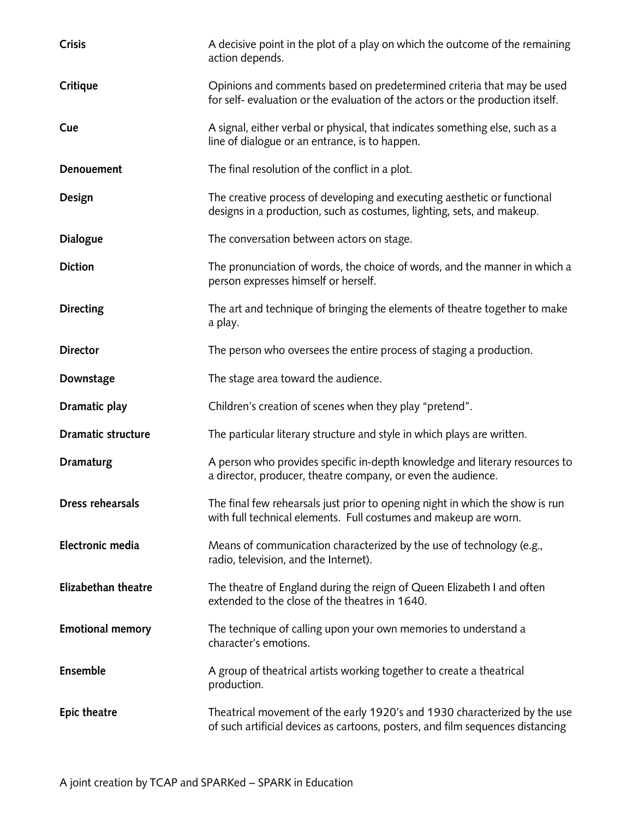| <b>Crisis</b>              | A decisive point in the plot of a play on which the outcome of the remaining<br>action depends.                                                             |
|----------------------------|-------------------------------------------------------------------------------------------------------------------------------------------------------------|
| Critique                   | Opinions and comments based on predetermined criteria that may be used<br>for self- evaluation or the evaluation of the actors or the production itself.    |
| Cue                        | A signal, either verbal or physical, that indicates something else, such as a<br>line of dialogue or an entrance, is to happen.                             |
| Denouement                 | The final resolution of the conflict in a plot.                                                                                                             |
| Design                     | The creative process of developing and executing aesthetic or functional<br>designs in a production, such as costumes, lighting, sets, and makeup.          |
| <b>Dialogue</b>            | The conversation between actors on stage.                                                                                                                   |
| <b>Diction</b>             | The pronunciation of words, the choice of words, and the manner in which a<br>person expresses himself or herself.                                          |
| <b>Directing</b>           | The art and technique of bringing the elements of theatre together to make<br>a play.                                                                       |
| <b>Director</b>            | The person who oversees the entire process of staging a production.                                                                                         |
| Downstage                  | The stage area toward the audience.                                                                                                                         |
| Dramatic play              | Children's creation of scenes when they play "pretend".                                                                                                     |
| <b>Dramatic structure</b>  | The particular literary structure and style in which plays are written.                                                                                     |
| <b>Dramaturg</b>           | A person who provides specific in-depth knowledge and literary resources to<br>a director, producer, theatre company, or even the audience.                 |
| <b>Dress rehearsals</b>    | The final few rehearsals just prior to opening night in which the show is run<br>with full technical elements. Full costumes and makeup are worn.           |
| Electronic media           | Means of communication characterized by the use of technology (e.g.,<br>radio, television, and the Internet).                                               |
| <b>Elizabethan theatre</b> | The theatre of England during the reign of Queen Elizabeth I and often<br>extended to the close of the theatres in 1640.                                    |
| <b>Emotional memory</b>    | The technique of calling upon your own memories to understand a<br>character's emotions.                                                                    |
| <b>Ensemble</b>            | A group of theatrical artists working together to create a theatrical<br>production.                                                                        |
| <b>Epic theatre</b>        | Theatrical movement of the early 1920's and 1930 characterized by the use<br>of such artificial devices as cartoons, posters, and film sequences distancing |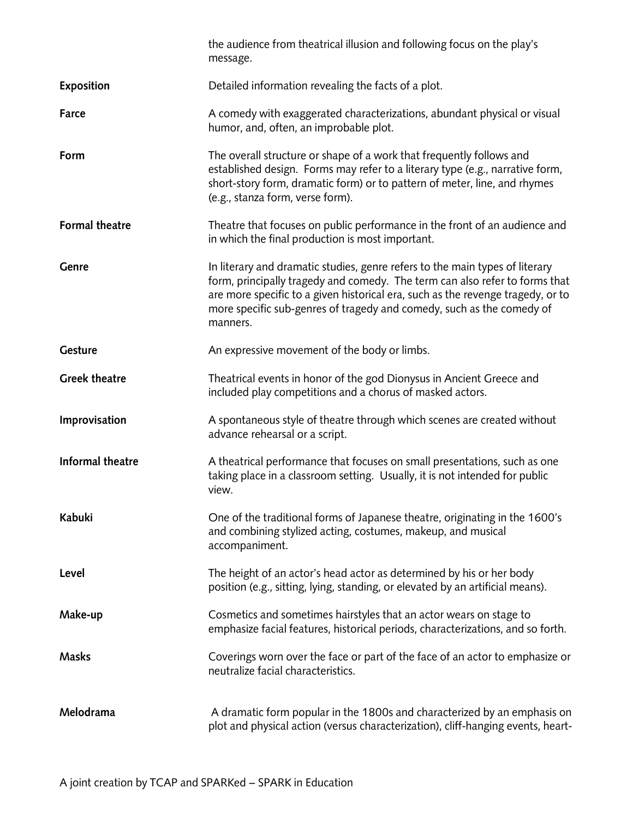|                       | the audience from theatrical illusion and following focus on the play's<br>message.                                                                                                                                                                                                                                                 |
|-----------------------|-------------------------------------------------------------------------------------------------------------------------------------------------------------------------------------------------------------------------------------------------------------------------------------------------------------------------------------|
| <b>Exposition</b>     | Detailed information revealing the facts of a plot.                                                                                                                                                                                                                                                                                 |
| Farce                 | A comedy with exaggerated characterizations, abundant physical or visual<br>humor, and, often, an improbable plot.                                                                                                                                                                                                                  |
| Form                  | The overall structure or shape of a work that frequently follows and<br>established design. Forms may refer to a literary type (e.g., narrative form,<br>short-story form, dramatic form) or to pattern of meter, line, and rhymes<br>(e.g., stanza form, verse form).                                                              |
| <b>Formal theatre</b> | Theatre that focuses on public performance in the front of an audience and<br>in which the final production is most important.                                                                                                                                                                                                      |
| <b>Genre</b>          | In literary and dramatic studies, genre refers to the main types of literary<br>form, principally tragedy and comedy. The term can also refer to forms that<br>are more specific to a given historical era, such as the revenge tragedy, or to<br>more specific sub-genres of tragedy and comedy, such as the comedy of<br>manners. |
| Gesture               | An expressive movement of the body or limbs.                                                                                                                                                                                                                                                                                        |
| <b>Greek theatre</b>  | Theatrical events in honor of the god Dionysus in Ancient Greece and<br>included play competitions and a chorus of masked actors.                                                                                                                                                                                                   |
| Improvisation         | A spontaneous style of theatre through which scenes are created without<br>advance rehearsal or a script.                                                                                                                                                                                                                           |
| Informal theatre      | A theatrical performance that focuses on small presentations, such as one<br>taking place in a classroom setting. Usually, it is not intended for public<br>view.                                                                                                                                                                   |
| Kabuki                | One of the traditional forms of Japanese theatre, originating in the 1600's<br>and combining stylized acting, costumes, makeup, and musical<br>accompaniment.                                                                                                                                                                       |
| Level                 | The height of an actor's head actor as determined by his or her body<br>position (e.g., sitting, lying, standing, or elevated by an artificial means).                                                                                                                                                                              |
| Make-up               | Cosmetics and sometimes hairstyles that an actor wears on stage to<br>emphasize facial features, historical periods, characterizations, and so forth.                                                                                                                                                                               |
| <b>Masks</b>          | Coverings worn over the face or part of the face of an actor to emphasize or<br>neutralize facial characteristics.                                                                                                                                                                                                                  |
| Melodrama             | A dramatic form popular in the 1800s and characterized by an emphasis on<br>plot and physical action (versus characterization), cliff-hanging events, heart-                                                                                                                                                                        |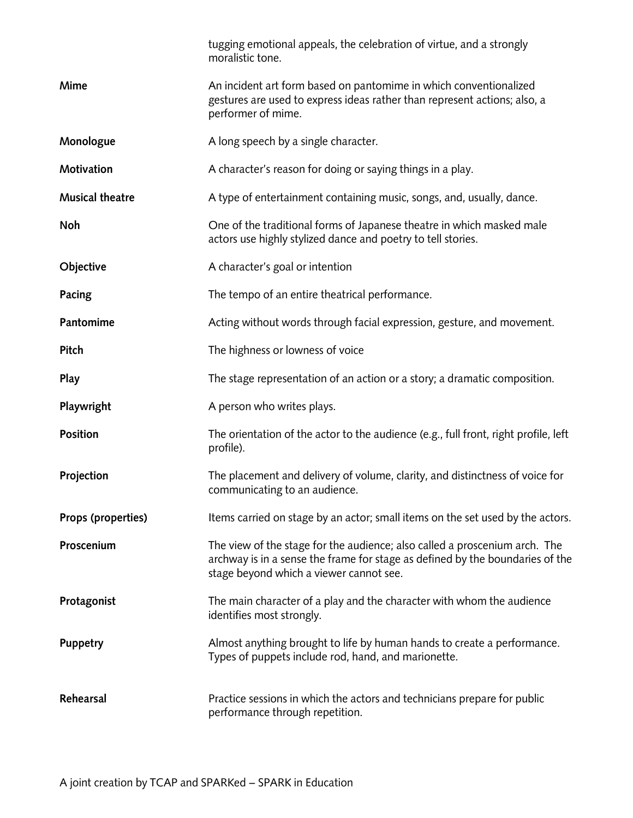|                        | tugging emotional appeals, the celebration of virtue, and a strongly<br>moralistic tone.                                                                                                               |
|------------------------|--------------------------------------------------------------------------------------------------------------------------------------------------------------------------------------------------------|
| <b>Mime</b>            | An incident art form based on pantomime in which conventionalized<br>gestures are used to express ideas rather than represent actions; also, a<br>performer of mime.                                   |
| Monologue              | A long speech by a single character.                                                                                                                                                                   |
| Motivation             | A character's reason for doing or saying things in a play.                                                                                                                                             |
| <b>Musical theatre</b> | A type of entertainment containing music, songs, and, usually, dance.                                                                                                                                  |
| Noh                    | One of the traditional forms of Japanese theatre in which masked male<br>actors use highly stylized dance and poetry to tell stories.                                                                  |
| Objective              | A character's goal or intention                                                                                                                                                                        |
| Pacing                 | The tempo of an entire theatrical performance.                                                                                                                                                         |
| Pantomime              | Acting without words through facial expression, gesture, and movement.                                                                                                                                 |
| Pitch                  | The highness or lowness of voice                                                                                                                                                                       |
| Play                   | The stage representation of an action or a story; a dramatic composition.                                                                                                                              |
| Playwright             | A person who writes plays.                                                                                                                                                                             |
| <b>Position</b>        | The orientation of the actor to the audience (e.g., full front, right profile, left<br>profile).                                                                                                       |
| Projection             | The placement and delivery of volume, clarity, and distinctness of voice for<br>communicating to an audience.                                                                                          |
| Props (properties)     | Items carried on stage by an actor; small items on the set used by the actors.                                                                                                                         |
| Proscenium             | The view of the stage for the audience; also called a proscenium arch. The<br>archway is in a sense the frame for stage as defined by the boundaries of the<br>stage beyond which a viewer cannot see. |
| Protagonist            | The main character of a play and the character with whom the audience<br>identifies most strongly.                                                                                                     |
| <b>Puppetry</b>        | Almost anything brought to life by human hands to create a performance.<br>Types of puppets include rod, hand, and marionette.                                                                         |
| Rehearsal              | Practice sessions in which the actors and technicians prepare for public<br>performance through repetition.                                                                                            |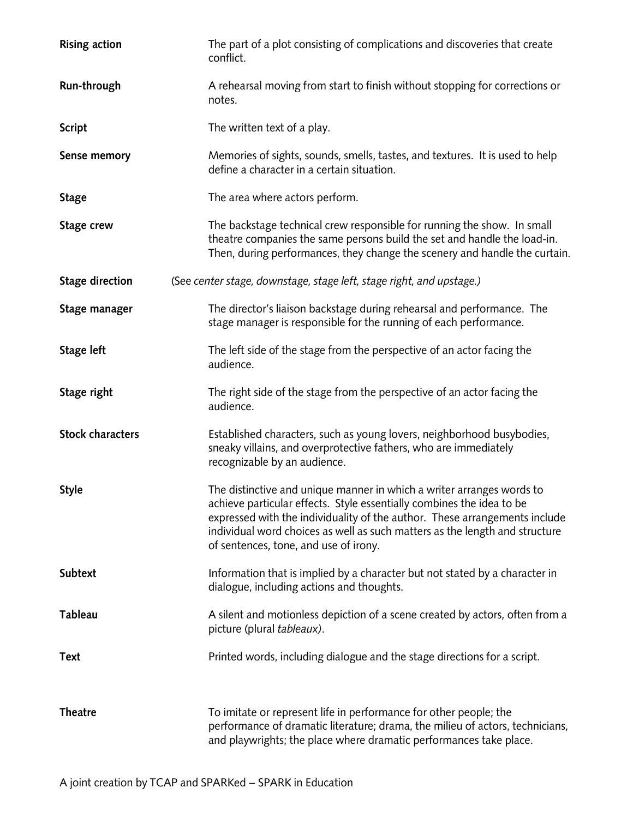| <b>Rising action</b>    | The part of a plot consisting of complications and discoveries that create<br>conflict.                                                                                                                                                                                                                                                              |
|-------------------------|------------------------------------------------------------------------------------------------------------------------------------------------------------------------------------------------------------------------------------------------------------------------------------------------------------------------------------------------------|
| Run-through             | A rehearsal moving from start to finish without stopping for corrections or<br>notes.                                                                                                                                                                                                                                                                |
| <b>Script</b>           | The written text of a play.                                                                                                                                                                                                                                                                                                                          |
| <b>Sense memory</b>     | Memories of sights, sounds, smells, tastes, and textures. It is used to help<br>define a character in a certain situation.                                                                                                                                                                                                                           |
| <b>Stage</b>            | The area where actors perform.                                                                                                                                                                                                                                                                                                                       |
| Stage crew              | The backstage technical crew responsible for running the show. In small<br>theatre companies the same persons build the set and handle the load-in.<br>Then, during performances, they change the scenery and handle the curtain.                                                                                                                    |
| <b>Stage direction</b>  | (See center stage, downstage, stage left, stage right, and upstage.)                                                                                                                                                                                                                                                                                 |
| Stage manager           | The director's liaison backstage during rehearsal and performance. The<br>stage manager is responsible for the running of each performance.                                                                                                                                                                                                          |
| <b>Stage left</b>       | The left side of the stage from the perspective of an actor facing the<br>audience.                                                                                                                                                                                                                                                                  |
| Stage right             | The right side of the stage from the perspective of an actor facing the<br>audience.                                                                                                                                                                                                                                                                 |
| <b>Stock characters</b> | Established characters, such as young lovers, neighborhood busybodies,<br>sneaky villains, and overprotective fathers, who are immediately<br>recognizable by an audience.                                                                                                                                                                           |
| <b>Style</b>            | The distinctive and unique manner in which a writer arranges words to<br>achieve particular effects. Style essentially combines the idea to be<br>expressed with the individuality of the author. These arrangements include<br>individual word choices as well as such matters as the length and structure<br>of sentences, tone, and use of irony. |
| Subtext                 | Information that is implied by a character but not stated by a character in<br>dialogue, including actions and thoughts.                                                                                                                                                                                                                             |
| <b>Tableau</b>          | A silent and motionless depiction of a scene created by actors, often from a<br>picture (plural tableaux).                                                                                                                                                                                                                                           |
| <b>Text</b>             | Printed words, including dialogue and the stage directions for a script.                                                                                                                                                                                                                                                                             |
| <b>Theatre</b>          | To imitate or represent life in performance for other people; the<br>performance of dramatic literature; drama, the milieu of actors, technicians,<br>and playwrights; the place where dramatic performances take place.                                                                                                                             |